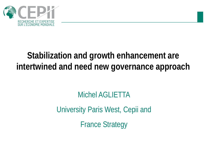

## **Stabilization and growth enhancement are intertwined and need new governance approach**

## Michel AGLIETTA

University Paris West, Cepii and

France Strategy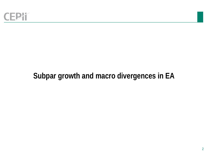## **Subpar growth and macro divergences in EA**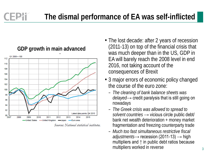

Sources: National statistical institutes.

- The lost decade: after 2 years of recession (2011-13) on top of the financial crisis that was much deeper than in the US, GDP in EA will barely reach the 2008 level in end 2016, not taking account of the consequences of Brexit
- 3 major errors of economic policy changed the course of the euro zone:
	- *The cleaning of bank balance sheets was delayed*→ credit paralysis that is still going on nowadays
	- *The Greek crisis was allowed to spread to solvent countries* → vicious circle public debt/ bank net wealth deterioration + money market fragmentation and freezing counterparty trade
	- *Much too fast simultaneous restrictive fiscal adjustments*→ recession (2011-13) → high multipliers and ↑ in public debt ratios because multipliers worked in reverse  $\frac{3}{3}$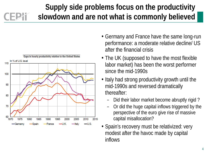## **Supply side problems focus on the productivity slowdown and are not what is commonly believed**



- Germany and France have the same long-run performance: a moderate relative decline/ US after the financial crisis
- The UK (supposed to have the most flexible labor market) has been the worst performer since the mid-1990s
- Italy had strong productivity growth until the mid-1990s and reversed dramatically thereafter:
	- Did their labor market become abruptly rigid ?
	- Or did the huge capital inflows triggered by the perspective of the euro give rise of massive capital misallocation?
- Spain's recovery must be relativized: very modest after the havoc made by capital inflows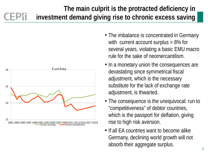### **The main culprit is the protracted deficiency in investment demand giving rise to chronic excess saving**



- The imbalance is concentrated in Germany with current account surplus > 8% for several years, violating a basic EMU macro rule for the sake of neomercantilism.
- In a monetary union the consequences are devastating since symmetrical fiscal adjustment, which is the necessary substitute for the lack of exchange rate adjustment, is thwarted.
- The consequence is the unequivocal: run to "competitiveness" of debtor countries, which is the passport for deflation, giving rise to high risk aversion.
- If all EA countries want to become alike Germany, declining world growth will not absorb their aggregate surplus.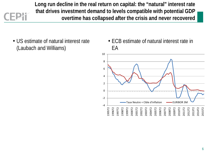**Long run decline in the real return on capital: the "natural" interest rate that drives investment demand to levels compatible with potential GDP overtime has collapsed after the crisis and never recovered**

• US estimate of natural interest rate (Laubach and Williams)

• ECB estimate of natural interest rate in EA

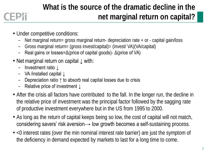## **What is the source of the dramatic decline in the net marginal return on capital?**

- Under competitive conditions:
	- Net marginal return= gross marginal return- depreciation rate + or capital gain/loss
	- Gross marginal return= (gross invest/capital)= (invest/ VA)(VA/capital)
	- Real gains or losses=Δ(price of capital goods)- Δ(price of VA)
- Net marginal return on capital  $\downarrow$  with:
	- Investment ratio ↓

CEP7

- VA /installed capital ↓
- Depreciation ratio ↑ to absorb real capital losses due to crisis
- Relative price of investment ↓
- After the crisis all factors have contributed to the fall. In the longer run, the decline in the relative price of investment was the principal factor followed by the sagging rate of productive investment everywhere but in the US from 1995 to 2000.
- As long as the return of capital keeps being so low, the cost of capital will not match, considering savers' risk aversion→ low growth becomes a self-sustaining process.
- <0 interest rates (over the min nominal interest rate barrier) are just the symptom of the deficiency in demand expected by markets to last for a long time to come.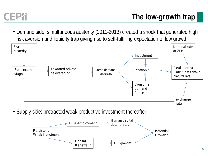

• Demand side: simultaneous austerity (2011-2013) created a shock that generated high risk aversion and liquidity trap giving rise to self-fulfilling expectation of low growth



• Supply side: protracted weak productive investment thereafter

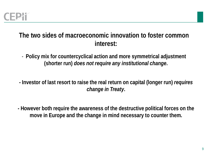

#### **The two sides of macroeconomic innovation to foster common interest:**

- **Policy mix for countercyclical action and more symmetrical adjustment (shorter run)** *does not require any institutional change***.**
- **- Investor of last resort to raise the real return on capital (longer run)** *requires change in Treaty***.**
- **- However both require the awareness of the destructive political forces on the move in Europe and the change in mind necessary to counter them.**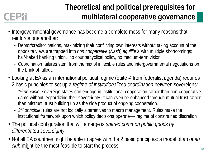# **CEPY**

## **Theoretical and political prerequisites for multilateral cooperative governance**

- Intergovernmental governance has become a complete mess for many reasons that reinforce one another:
	- Debtor/creditor nations, maximizing their conflicting own interests without taking account of the opposite view, are trapped into *non cooperative* (*Nash*) *equilibria* with multiple shortcomings: half-baked banking union, no countercyclical policy, no medium-term vision.
	- Coordination failures stem from the mix of inflexible rules and intergovernmental negotiations on the brink of fallout.
- Looking at EA as an international political regime (quite ≠ from federalist agenda) requires 2 basic principles to set up a *regime of institutionalized coordination* between sovereigns:
	- *1st principle*: sovereign states can engage in institutional cooperation rather than non-cooperative game without jeopardizing their sovereignty. It can even be enhanced through mutual trust rather than mistrust, trust building up as the side product of ongoing cooperation.
	- *2nd principle*: rules are not logically alternatives to macro management. Rules make the institutional framework upon which policy decisions operate→ regime of constrained discretion
- The political configuration that will emerge is *shared common public goods by differentiated sovereignty*.
- Not all EA countries might be able to agree with the 2 basic principles: a model of an *open club* might be the most feasible to start the process.  $10^{10}$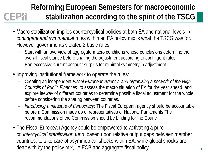## **Reforming European Semesters for macroeconomic stabilization according to the spirit of the TSCG**

- Macro stabilization implies countercyclical policies at both EA and national levels $\rightarrow$ *contingent and symmetrical* rules within an EA policy mix is what the TSCG was for. However governments violated 2 basic rules:
	- Start with an overview of aggregate macro conditions whose conclusions determine the overall fiscal stance before sharing the adjustment according to contingent rules
	- Ban excessive current account surplus for minimal symmetry in adjustment.
- Improving institutional framework to operate the rules:
	- Creating an independent *Fiscal European Agency and organizing a network of the High Councils of Public Finances* to assess the macro situation of EA for the year ahead and explore leeway of different countries to determine possible fiscal adjustment for the whole before considering the sharing between countries.
	- *Introducing a measure of democracy*: The Fiscal European agency should be accountable before a Commission made up of representatives of National Parliaments The recommendations of the Commission should be binding for the Council.
- The Fiscal European Agency could be empowered to activating a pure *countercyclical stabilization fund*, based upon relative output gaps between member countries, to take care of asymmetrical shocks within EA, while global shocks are dealt with by the policy mix, i.e ECB and aggregate fiscal policy.  $11$